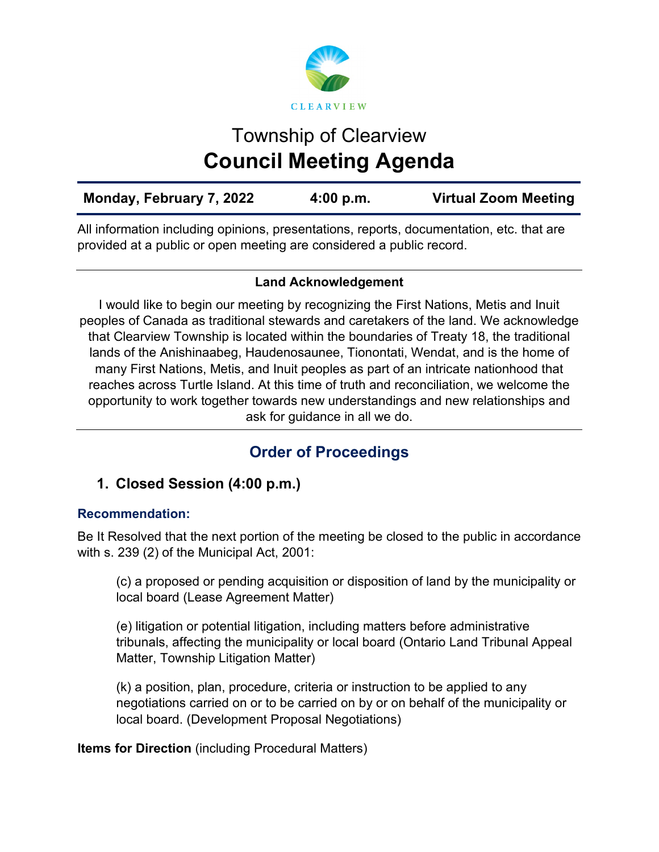

# Township of Clearview **Council Meeting Agenda**

All information including opinions, presentations, reports, documentation, etc. that are provided at a public or open meeting are considered a public record.

## **Land Acknowledgement**

I would like to begin our meeting by recognizing the First Nations, Metis and Inuit peoples of Canada as traditional stewards and caretakers of the land. We acknowledge that Clearview Township is located within the boundaries of Treaty 18, the traditional lands of the Anishinaabeg, Haudenosaunee, Tionontati, Wendat, and is the home of many First Nations, Metis, and Inuit peoples as part of an intricate nationhood that reaches across Turtle Island. At this time of truth and reconciliation, we welcome the opportunity to work together towards new understandings and new relationships and ask for guidance in all we do.

# **Order of Proceedings**

# **1. Closed Session (4:00 p.m.)**

## **Recommendation:**

Be It Resolved that the next portion of the meeting be closed to the public in accordance with s. 239 (2) of the Municipal Act, 2001:

(c) a proposed or pending acquisition or disposition of land by the municipality or local board (Lease Agreement Matter)

(e) litigation or potential litigation, including matters before administrative tribunals, affecting the municipality or local board (Ontario Land Tribunal Appeal Matter, Township Litigation Matter)

(k) a position, plan, procedure, criteria or instruction to be applied to any negotiations carried on or to be carried on by or on behalf of the municipality or local board. (Development Proposal Negotiations)

**Items for Direction** (including Procedural Matters)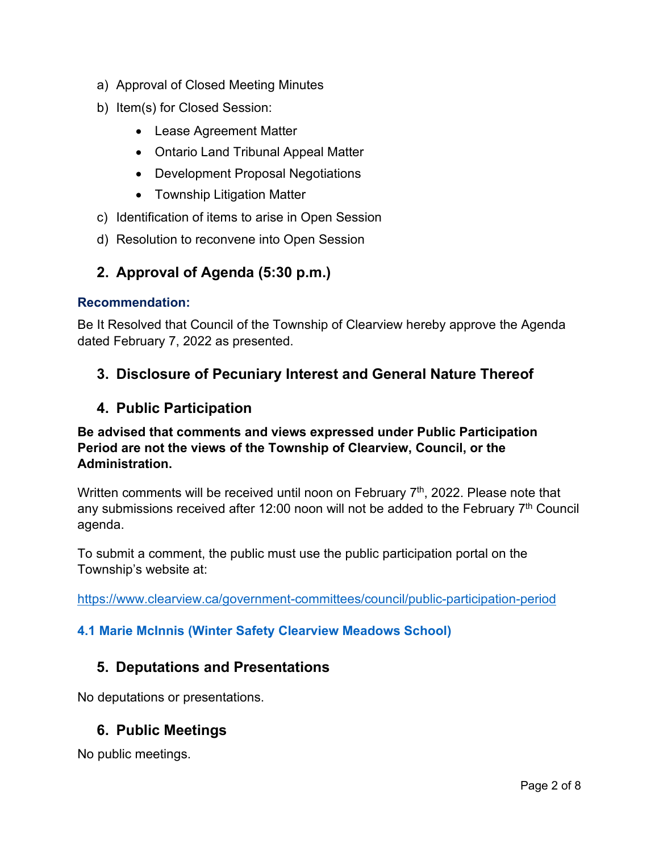- a) Approval of Closed Meeting Minutes
- b) Item(s) for Closed Session:
	- Lease Agreement Matter
	- Ontario Land Tribunal Appeal Matter
	- Development Proposal Negotiations
	- Township Litigation Matter
- c) Identification of items to arise in Open Session
- d) Resolution to reconvene into Open Session

## **2. Approval of Agenda (5:30 p.m.)**

#### **Recommendation:**

Be It Resolved that Council of the Township of Clearview hereby approve the Agenda dated February 7, 2022 as presented.

## **3. Disclosure of Pecuniary Interest and General Nature Thereof**

## **4. Public Participation**

### **Be advised that comments and views expressed under Public Participation Period are not the views of the Township of Clearview, Council, or the Administration.**

Written comments will be received until noon on February  $7<sup>th</sup>$ , 2022. Please note that any submissions received after 12:00 noon will not be added to the February 7<sup>th</sup> Council agenda.

To submit a comment, the public must use the public participation portal on the Township's website at:

<https://www.clearview.ca/government-committees/council/public-participation-period>

#### **[4.1 Marie McInnis \(Winter Safety Clearview Meadows School\)](https://www.clearview.ca/sites/default/files/uploads/publications/4.1_marie_mcinnis_winter_safety_clearview_meadows_school.pdf)**

## **5. Deputations and Presentations**

No deputations or presentations.

## **6. Public Meetings**

No public meetings.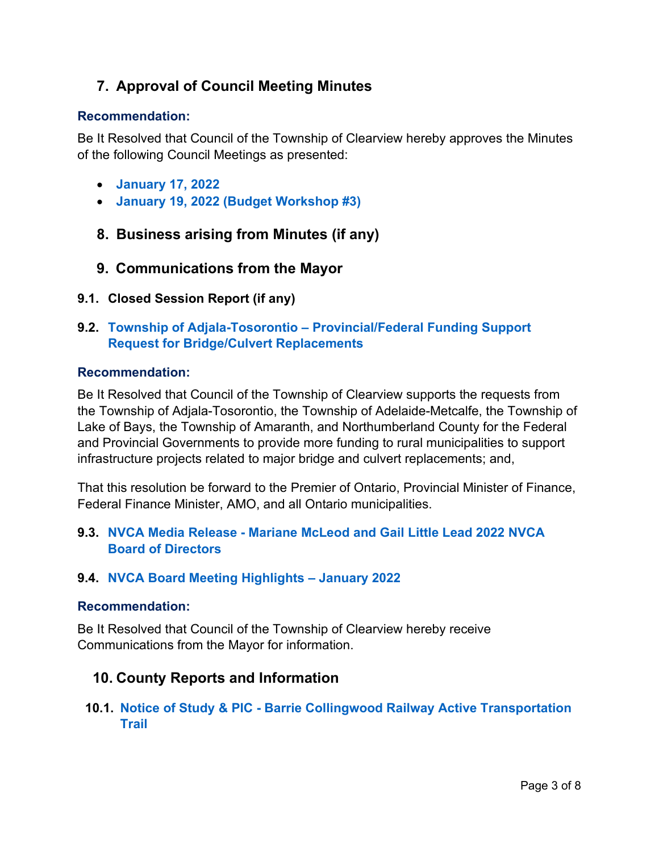# **7. Approval of Council Meeting Minutes**

#### **Recommendation:**

Be It Resolved that Council of the Township of Clearview hereby approves the Minutes of the following Council Meetings as presented:

- **[January 17, 2022](https://www.clearview.ca/sites/default/files/uploads/publications/2022-01-17_council_meeting_minutes.pdf)**
- **[January 19, 2022 \(Budget Workshop #3\)](https://www.clearview.ca/sites/default/files/uploads/publications/2022-01-19_special_council_meeting_minutes_budget_workshop_3.pdf)**
- **8. Business arising from Minutes (if any)**
- **9. Communications from the Mayor**
- **9.1. Closed Session Report (if any)**
- **9.2. Township of Adjala-Tosorontio – [Provincial/Federal Funding Support](https://www.clearview.ca/sites/default/files/uploads/publications/9.2_adj-tos_funding_support_request_for_bridges_and_culverts.pdf)  [Request for Bridge/Culvert Replacements](https://www.clearview.ca/sites/default/files/uploads/publications/9.2_adj-tos_funding_support_request_for_bridges_and_culverts.pdf)**

#### **Recommendation:**

Be It Resolved that Council of the Township of Clearview supports the requests from the Township of Adjala-Tosorontio, the Township of Adelaide-Metcalfe, the Township of Lake of Bays, the Township of Amaranth, and Northumberland County for the Federal and Provincial Governments to provide more funding to rural municipalities to support infrastructure projects related to major bridge and culvert replacements; and,

That this resolution be forward to the Premier of Ontario, Provincial Minister of Finance, Federal Finance Minister, AMO, and all Ontario municipalities.

**9.3. NVCA Media Release - [Mariane McLeod and Gail Little Lead 2022 NVCA](https://www.clearview.ca/sites/default/files/uploads/publications/9.3_nvca_media_release_-_mariane_mcleod_and_gail_little_lead_2022_nvca_board_of_directors.pdf)  [Board of Directors](https://www.clearview.ca/sites/default/files/uploads/publications/9.3_nvca_media_release_-_mariane_mcleod_and_gail_little_lead_2022_nvca_board_of_directors.pdf)**

#### **9.4. [NVCA Board Meeting Highlights –](https://www.clearview.ca/sites/default/files/uploads/publications/9.4_nvca_board_meeting_highlights_-_january_2022.pdf) January 2022**

#### **Recommendation:**

Be It Resolved that Council of the Township of Clearview hereby receive Communications from the Mayor for information.

## **10. County Reports and Information**

**10.1. Notice of Study & PIC - [Barrie Collingwood Railway Active Transportation](https://www.clearview.ca/sites/default/files/uploads/publications/10.1_county_of_simcoe_public_info_centre_notice_-_barrie_collingwood_railway_active_transportation_trail.pdf)  [Trail](https://www.clearview.ca/sites/default/files/uploads/publications/10.1_county_of_simcoe_public_info_centre_notice_-_barrie_collingwood_railway_active_transportation_trail.pdf)**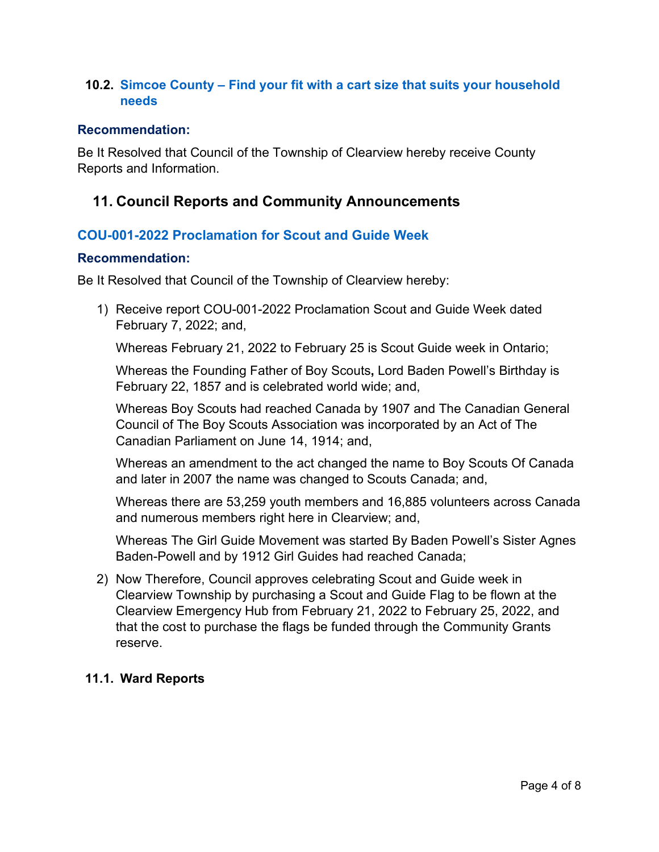### **10.2. Simcoe County – [Find your fit with a cart size that suits your household](https://www.simcoe.ca/CorporateCommunications/Pages/find-your-fit-with-a-cart-size-that-suits-your-household-needs.aspx)  [needs](https://www.simcoe.ca/CorporateCommunications/Pages/find-your-fit-with-a-cart-size-that-suits-your-household-needs.aspx)**

#### **Recommendation:**

Be It Resolved that Council of the Township of Clearview hereby receive County Reports and Information.

## **11. Council Reports and Community Announcements**

## **[COU-001-2022 Proclamation for Scout and Guide Week](https://www.clearview.ca/sites/default/files/uploads/publications/cou-001-2022_proclamation_scout_and_guide_week.pdf)**

#### **Recommendation:**

Be It Resolved that Council of the Township of Clearview hereby:

1) Receive report COU-001-2022 Proclamation Scout and Guide Week dated February 7, 2022; and,

Whereas February 21, 2022 to February 25 is Scout Guide week in Ontario;

Whereas the Founding Father of Boy Scouts**,** Lord Baden Powell's Birthday is February 22, 1857 and is celebrated world wide; and,

Whereas Boy Scouts had reached Canada by 1907 and The Canadian General Council of The Boy Scouts Association was incorporated by an Act of The Canadian Parliament on June 14, 1914; and,

Whereas an amendment to the act changed the name to Boy Scouts Of Canada and later in 2007 the name was changed to Scouts Canada; and,

Whereas there are 53,259 youth members and 16,885 volunteers across Canada and numerous members right here in Clearview; and,

Whereas The Girl Guide Movement was started By Baden Powell's Sister Agnes Baden-Powell and by 1912 Girl Guides had reached Canada;

2) Now Therefore, Council approves celebrating Scout and Guide week in Clearview Township by purchasing a Scout and Guide Flag to be flown at the Clearview Emergency Hub from February 21, 2022 to February 25, 2022, and that the cost to purchase the flags be funded through the Community Grants reserve.

#### **11.1. Ward Reports**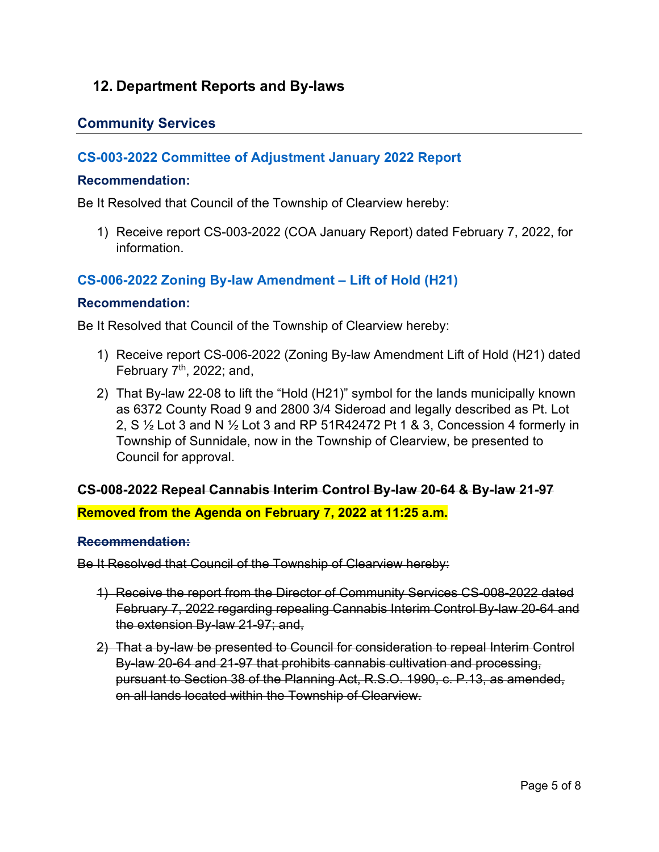## **12. Department Reports and By-laws**

## **Community Services**

## **[CS-003-2022 Committee of Adjustment January 2022 Report](https://www.clearview.ca/sites/default/files/uploads/publications/cs-003-2022_january_coa_report.pdf)**

#### **Recommendation:**

Be It Resolved that Council of the Township of Clearview hereby:

1) Receive report CS-003-2022 (COA January Report) dated February 7, 2022, for information.

### **CS-006-2022 [Zoning By-law Amendment –](https://www.clearview.ca/sites/default/files/uploads/publications/cs-006-2022_zoning_by-law_amendment_-_lift_of_hold_h21.pdf) Lift of Hold (H21)**

#### **Recommendation:**

Be It Resolved that Council of the Township of Clearview hereby:

- 1) Receive report CS-006-2022 (Zoning By-law Amendment Lift of Hold (H21) dated February  $7<sup>th</sup>$ , 2022; and,
- 2) That By-law 22-08 to lift the "Hold (H21)" symbol for the lands municipally known as 6372 County Road 9 and 2800 3/4 Sideroad and legally described as Pt. Lot 2, S  $\frac{1}{2}$  Lot 3 and N  $\frac{1}{2}$  Lot 3 and RP 51R42472 Pt 1 & 3, Concession 4 formerly in Township of Sunnidale, now in the Township of Clearview, be presented to Council for approval.

#### **CS-008-2022 Repeal Cannabis Interim Control By-law 20-64 & By-law 21-97**

**Removed from the Agenda on February 7, 2022 at 11:25 a.m.**

#### **Recommendation:**

Be It Resolved that Council of the Township of Clearview hereby:

- 1) Receive the report from the Director of Community Services CS-008-2022 dated February 7, 2022 regarding repealing Cannabis Interim Control By-law 20-64 and the extension By-law 21-97; and,
- 2) That a by-law be presented to Council for consideration to repeal Interim Control By-law 20-64 and 21-97 that prohibits cannabis cultivation and processing, pursuant to Section 38 of the Planning Act, R.S.O. 1990, c. P.13, as amended, on all lands located within the Township of Clearview.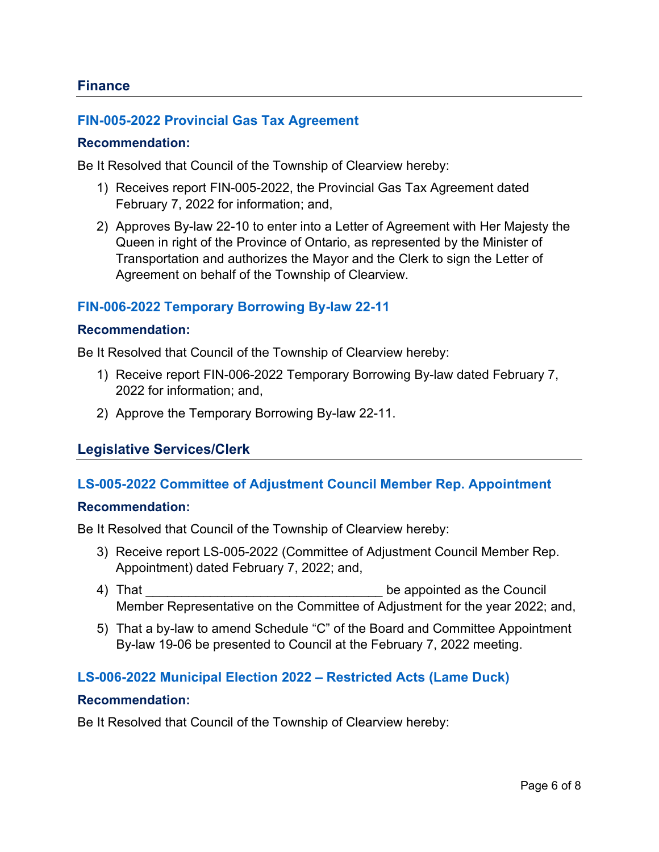#### **FIN-005-2022 [Provincial Gas Tax Agreement](https://www.clearview.ca/sites/default/files/uploads/publications/fin-005-2022_provincial_gas_tax_agreement.pdf)**

#### **Recommendation:**

Be It Resolved that Council of the Township of Clearview hereby:

- 1) Receives report FIN-005-2022, the Provincial Gas Tax Agreement dated February 7, 2022 for information; and,
- 2) Approves By-law 22-10 to enter into a Letter of Agreement with Her Majesty the Queen in right of the Province of Ontario, as represented by the Minister of Transportation and authorizes the Mayor and the Clerk to sign the Letter of Agreement on behalf of the Township of Clearview.

#### **[FIN-006-2022 Temporary Borrowing By-law 22-11](https://www.clearview.ca/sites/default/files/uploads/publications/fin-006-2022_temporary_borrowing_by-law_22-11.pdf)**

#### **Recommendation:**

Be It Resolved that Council of the Township of Clearview hereby:

- 1) Receive report FIN-006-2022 Temporary Borrowing By-law dated February 7, 2022 for information; and,
- 2) Approve the Temporary Borrowing By-law 22-11.

#### **Legislative Services/Clerk**

#### **[LS-005-2022 Committee of Adjustment Council Member Rep. Appointment](https://www.clearview.ca/sites/default/files/uploads/publications/ls-005-2022_committee_of_adjustment_council_member_rep._appointment.pdf)**

#### **Recommendation:**

Be It Resolved that Council of the Township of Clearview hereby:

- 3) Receive report LS-005-2022 (Committee of Adjustment Council Member Rep. Appointment) dated February 7, 2022; and,
- 4) That **All 2003** Council and the appointed as the Council Member Representative on the Committee of Adjustment for the year 2022; and,
- 5) That a by-law to amend Schedule "C" of the Board and Committee Appointment By-law 19-06 be presented to Council at the February 7, 2022 meeting.

#### **[LS-006-2022 Municipal Election 2022 –](https://www.clearview.ca/sites/default/files/uploads/publications/ls-006-2022_municipal_election_2022_-_restricted_acts_lame_duck.pdf) Restricted Acts (Lame Duck)**

#### **Recommendation:**

Be It Resolved that Council of the Township of Clearview hereby: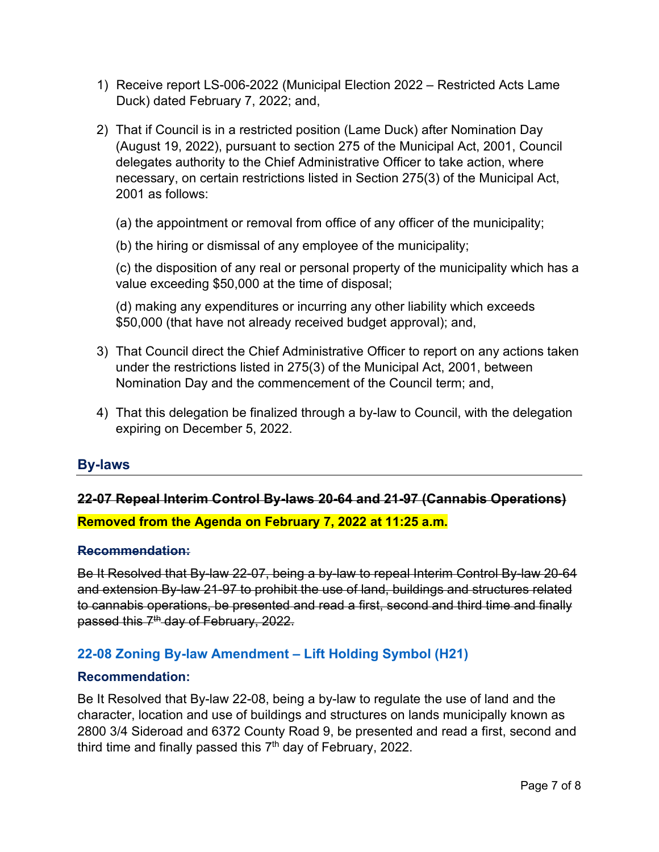- 1) Receive report LS-006-2022 (Municipal Election 2022 Restricted Acts Lame Duck) dated February 7, 2022; and,
- 2) That if Council is in a restricted position (Lame Duck) after Nomination Day (August 19, 2022), pursuant to section 275 of the Municipal Act, 2001, Council delegates authority to the Chief Administrative Officer to take action, where necessary, on certain restrictions listed in Section 275(3) of the Municipal Act, 2001 as follows:
	- (a) the appointment or removal from office of any officer of the municipality;
	- (b) the hiring or dismissal of any employee of the municipality;

(c) the disposition of any real or personal property of the municipality which has a value exceeding \$50,000 at the time of disposal;

(d) making any expenditures or incurring any other liability which exceeds \$50,000 (that have not already received budget approval); and,

- 3) That Council direct the Chief Administrative Officer to report on any actions taken under the restrictions listed in 275(3) of the Municipal Act, 2001, between Nomination Day and the commencement of the Council term; and,
- 4) That this delegation be finalized through a by-law to Council, with the delegation expiring on December 5, 2022.

## **By-laws**

# **22-07 Repeal Interim Control By-laws 20-64 and 21-97 (Cannabis Operations) Removed from the Agenda on February 7, 2022 at 11:25 a.m.**

#### **Recommendation:**

Be It Resolved that By-law 22-07, being a by-law to repeal Interim Control By-law 20-64 and extension By-law 21-97 to prohibit the use of land, buildings and structures related to cannabis operations, be presented and read a first, second and third time and finally passed this  $7<sup>th</sup>$  day of February, 2022.

## **[22-08 Zoning By-law Amendment –](https://www.clearview.ca/sites/default/files/uploads/publications/22-08_zba_lift_of_hold_h21_2800_3-4_sd_rd_6372_cty_rd_9.pdf) Lift Holding Symbol (H21)**

#### **Recommendation:**

Be It Resolved that By-law 22-08, being a by-law to regulate the use of land and the character, location and use of buildings and structures on lands municipally known as 2800 3/4 Sideroad and 6372 County Road 9, be presented and read a first, second and third time and finally passed this 7<sup>th</sup> day of February, 2022.